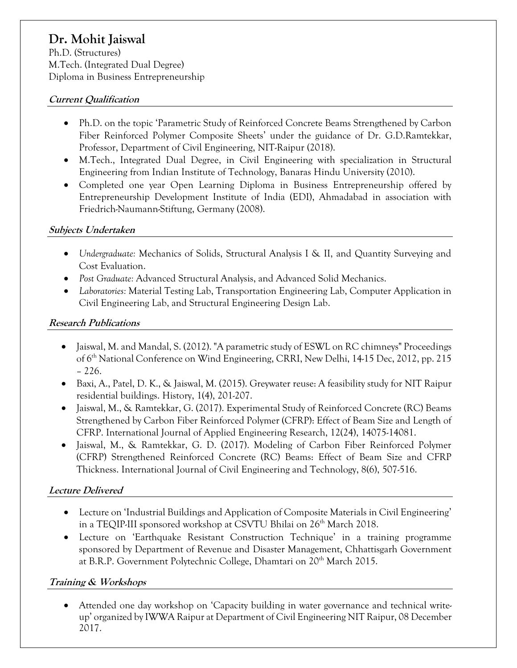# **Dr. Mohit Jaiswal**

Ph.D. (Structures) M.Tech. (Integrated Dual Degree) Diploma in Business Entrepreneurship

## **Current Qualification**

- Ph.D. on the topic 'Parametric Study of Reinforced Concrete Beams Strengthened by Carbon Fiber Reinforced Polymer Composite Sheets' under the guidance of Dr. G.D.Ramtekkar, Professor, Department of Civil Engineering, NIT-Raipur (2018).
- M.Tech., Integrated Dual Degree, in Civil Engineering with specialization in Structural Engineering from Indian Institute of Technology, Banaras Hindu University (2010).
- Completed one year Open Learning Diploma in Business Entrepreneurship offered by Entrepreneurship Development Institute of India (EDI), Ahmadabad in association with Friedrich-Naumann-Stiftung, Germany (2008).

## **Subjects Undertaken**

- *Undergraduate:* Mechanics of Solids, Structural Analysis I & II, and Quantity Surveying and Cost Evaluation.
- *Post Graduate:* Advanced Structural Analysis, and Advanced Solid Mechanics.
- *Laboratories:* Material Testing Lab, Transportation Engineering Lab, Computer Application in Civil Engineering Lab, and Structural Engineering Design Lab.

## **Research Publications**

- Jaiswal, M. and Mandal, S. (2012). "A parametric study of ESWL on RC chimneys" Proceedings of 6<sup>th</sup> National Conference on Wind Engineering, CRRI, New Delhi, 14-15 Dec, 2012, pp. 215 – 226.
- Baxi, A., Patel, D. K., & Jaiswal, M. (2015). Greywater reuse: A feasibility study for NIT Raipur residential buildings. History, 1(4), 201-207.
- Jaiswal, M., & Ramtekkar, G. (2017). Experimental Study of Reinforced Concrete (RC) Beams Strengthened by Carbon Fiber Reinforced Polymer (CFRP): Effect of Beam Size and Length of CFRP. International Journal of Applied Engineering Research, 12(24), 14075-14081.
- Jaiswal, M., & Ramtekkar, G. D. (2017). Modeling of Carbon Fiber Reinforced Polymer (CFRP) Strengthened Reinforced Concrete (RC) Beams: Effect of Beam Size and CFRP Thickness. International Journal of Civil Engineering and Technology, 8(6), 507-516.

# **Lecture Delivered**

- Lecture on 'Industrial Buildings and Application of Composite Materials in Civil Engineering' in a TEQIP-III sponsored workshop at CSVTU Bhilai on 26<sup>th</sup> March 2018.
- Lecture on 'Earthquake Resistant Construction Technique' in a training programme sponsored by Department of Revenue and Disaster Management, Chhattisgarh Government at B.R.P. Government Polytechnic College, Dhamtari on  $20<sup>th</sup>$  March 2015.

# **Training & Workshops**

 Attended one day workshop on 'Capacity building in water governance and technical writeup' organized by IWWA Raipur at Department of Civil Engineering NIT Raipur, 08 December 2017.